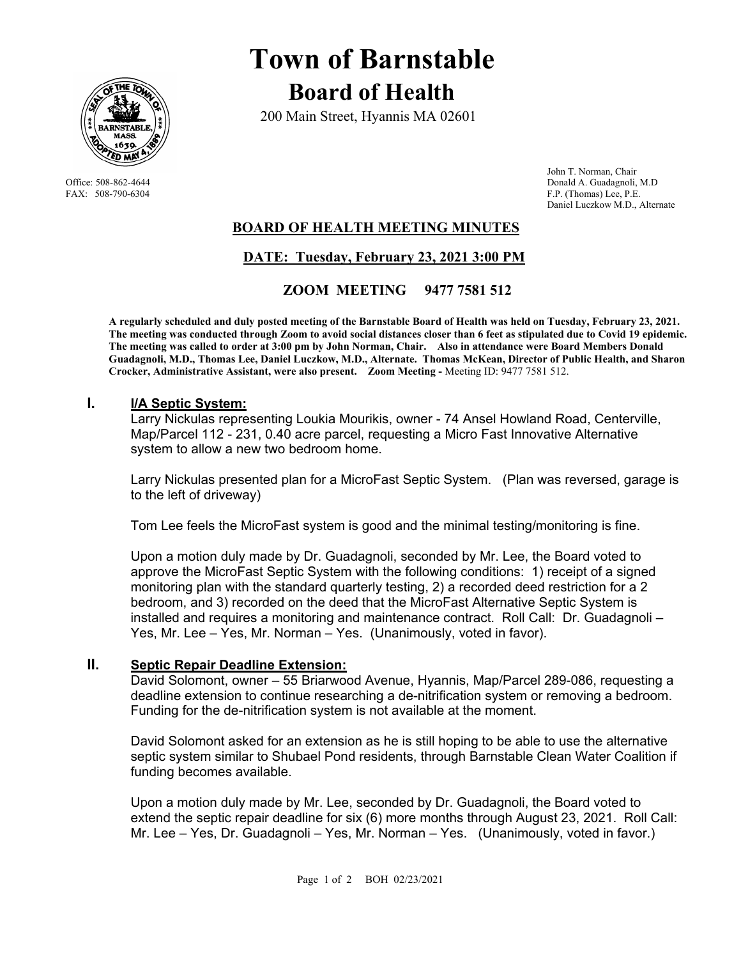

# **Town of Barnstable Board of Health**

200 Main Street, Hyannis MA 02601

 John T. Norman, Chair Office: 508-862-4644 Donald A. Guadagnoli, M.D<br>
FAX: 508-790-6304 F.P. (Thomas) Lee, P.E. F.P. (Thomas) Lee, P.E. Daniel Luczkow M.D., Alternate

## **BOARD OF HEALTH MEETING MINUTES**

# **DATE: Tuesday, February 23, 2021 3:00 PM**

### **ZOOM MEETING 9477 7581 512**

**A regularly scheduled and duly posted meeting of the Barnstable Board of Health was held on Tuesday, February 23, 2021. The meeting was conducted through Zoom to avoid social distances closer than 6 feet as stipulated due to Covid 19 epidemic. The meeting was called to order at 3:00 pm by John Norman, Chair. Also in attendance were Board Members Donald Guadagnoli, M.D., Thomas Lee, Daniel Luczkow, M.D., Alternate. Thomas McKean, Director of Public Health, and Sharon Crocker, Administrative Assistant, were also present. Zoom Meeting -** Meeting ID: 9477 7581 512.

#### **I. I/A Septic System:**

Larry Nickulas representing Loukia Mourikis, owner - 74 Ansel Howland Road, Centerville, Map/Parcel 112 - 231, 0.40 acre parcel, requesting a Micro Fast Innovative Alternative system to allow a new two bedroom home.

Larry Nickulas presented plan for a MicroFast Septic System. (Plan was reversed, garage is to the left of driveway)

Tom Lee feels the MicroFast system is good and the minimal testing/monitoring is fine.

Upon a motion duly made by Dr. Guadagnoli, seconded by Mr. Lee, the Board voted to approve the MicroFast Septic System with the following conditions: 1) receipt of a signed monitoring plan with the standard quarterly testing, 2) a recorded deed restriction for a 2 bedroom, and 3) recorded on the deed that the MicroFast Alternative Septic System is installed and requires a monitoring and maintenance contract. Roll Call: Dr. Guadagnoli – Yes, Mr. Lee – Yes, Mr. Norman – Yes. (Unanimously, voted in favor).

#### **II. Septic Repair Deadline Extension:**

David Solomont, owner – 55 Briarwood Avenue, Hyannis, Map/Parcel 289-086, requesting a deadline extension to continue researching a de-nitrification system or removing a bedroom. Funding for the de-nitrification system is not available at the moment.

David Solomont asked for an extension as he is still hoping to be able to use the alternative septic system similar to Shubael Pond residents, through Barnstable Clean Water Coalition if funding becomes available.

Upon a motion duly made by Mr. Lee, seconded by Dr. Guadagnoli, the Board voted to extend the septic repair deadline for six (6) more months through August 23, 2021. Roll Call: Mr. Lee – Yes, Dr. Guadagnoli – Yes, Mr. Norman – Yes. (Unanimously, voted in favor.)